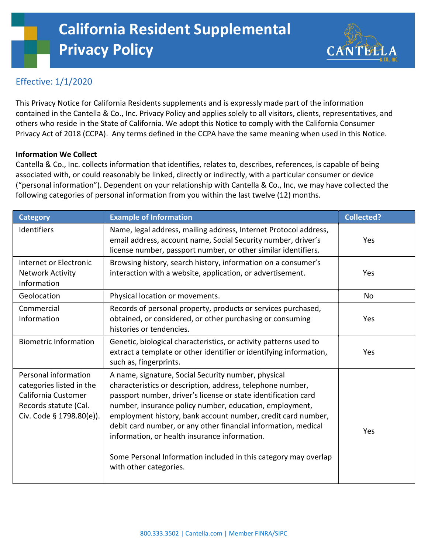# Effective: 1/1/2020

This Privacy Notice for California Residents supplements and is expressly made part of the information contained in the Cantella & Co., Inc. Privacy Policy and applies solely to all visitors, clients, representatives, and others who reside in the State of California. We adopt this Notice to comply with the California Consumer Privacy Act of 2018 (CCPA). Any terms defined in the CCPA have the same meaning when used in this Notice.

**CANTEL** 

## Information We Collect

Cantella & Co., Inc. collects information that identifies, relates to, describes, references, is capable of being associated with, or could reasonably be linked, directly or indirectly, with a particular consumer or device ("personal information"). Dependent on your relationship with Cantella & Co., Inc, we may have collected the following categories of personal information from you within the last twelve (12) months.

| <b>Category</b>                                                                                                              | <b>Example of Information</b>                                                                                                                                                                                                                                                                                                                                                                                                                                                                                                  | <b>Collected?</b> |
|------------------------------------------------------------------------------------------------------------------------------|--------------------------------------------------------------------------------------------------------------------------------------------------------------------------------------------------------------------------------------------------------------------------------------------------------------------------------------------------------------------------------------------------------------------------------------------------------------------------------------------------------------------------------|-------------------|
| Identifiers                                                                                                                  | Name, legal address, mailing address, Internet Protocol address,<br>email address, account name, Social Security number, driver's<br>license number, passport number, or other similar identifiers.                                                                                                                                                                                                                                                                                                                            | Yes               |
| Internet or Electronic<br><b>Network Activity</b><br>Information                                                             | Browsing history, search history, information on a consumer's<br>interaction with a website, application, or advertisement.                                                                                                                                                                                                                                                                                                                                                                                                    | Yes               |
| Geolocation                                                                                                                  | Physical location or movements.                                                                                                                                                                                                                                                                                                                                                                                                                                                                                                | <b>No</b>         |
| Commercial<br>Information                                                                                                    | Records of personal property, products or services purchased,<br>obtained, or considered, or other purchasing or consuming<br>histories or tendencies.                                                                                                                                                                                                                                                                                                                                                                         | Yes               |
| <b>Biometric Information</b>                                                                                                 | Genetic, biological characteristics, or activity patterns used to<br>extract a template or other identifier or identifying information,<br>such as, fingerprints.                                                                                                                                                                                                                                                                                                                                                              | Yes               |
| Personal information<br>categories listed in the<br>California Customer<br>Records statute (Cal.<br>Civ. Code § 1798.80(e)). | A name, signature, Social Security number, physical<br>characteristics or description, address, telephone number,<br>passport number, driver's license or state identification card<br>number, insurance policy number, education, employment,<br>employment history, bank account number, credit card number,<br>debit card number, or any other financial information, medical<br>information, or health insurance information.<br>Some Personal Information included in this category may overlap<br>with other categories. | Yes               |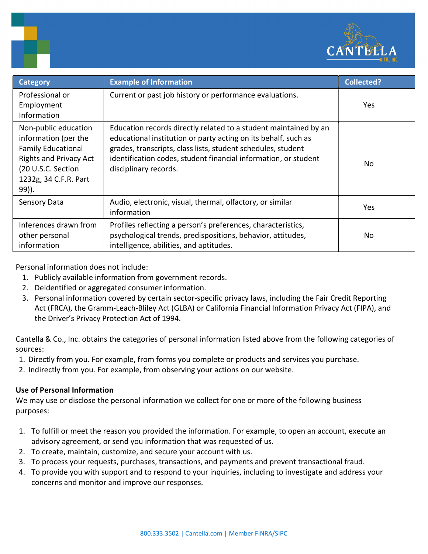

| <b>Category</b>                                                                                                                                                    | <b>Example of Information</b>                                                                                                                                                                                                                                                                  | Collected? |
|--------------------------------------------------------------------------------------------------------------------------------------------------------------------|------------------------------------------------------------------------------------------------------------------------------------------------------------------------------------------------------------------------------------------------------------------------------------------------|------------|
| Professional or<br>Employment<br>Information                                                                                                                       | Current or past job history or performance evaluations.                                                                                                                                                                                                                                        | Yes        |
| Non-public education<br>information (per the<br><b>Family Educational</b><br><b>Rights and Privacy Act</b><br>(20 U.S.C. Section<br>1232g, 34 C.F.R. Part<br>99)). | Education records directly related to a student maintained by an<br>educational institution or party acting on its behalf, such as<br>grades, transcripts, class lists, student schedules, student<br>identification codes, student financial information, or student<br>disciplinary records. | No.        |
| Sensory Data                                                                                                                                                       | Audio, electronic, visual, thermal, olfactory, or similar<br>information                                                                                                                                                                                                                       | Yes        |
| Inferences drawn from<br>other personal<br>information                                                                                                             | Profiles reflecting a person's preferences, characteristics,<br>psychological trends, predispositions, behavior, attitudes,<br>intelligence, abilities, and aptitudes.                                                                                                                         | No.        |

Personal information does not include:

h

- 1. Publicly available information from government records.
- 2. Deidentified or aggregated consumer information.
- 3. Personal information covered by certain sector-specific privacy laws, including the Fair Credit Reporting Act (FRCA), the Gramm-Leach-Bliley Act (GLBA) or California Financial Information Privacy Act (FIPA), and the Driver's Privacy Protection Act of 1994.

Cantella & Co., Inc. obtains the categories of personal information listed above from the following categories of sources:

- 1. Directly from you. For example, from forms you complete or products and services you purchase.
- 2. Indirectly from you. For example, from observing your actions on our website.

### Use of Personal Information

We may use or disclose the personal information we collect for one or more of the following business purposes:

- 1. To fulfill or meet the reason you provided the information. For example, to open an account, execute an advisory agreement, or send you information that was requested of us.
- 2. To create, maintain, customize, and secure your account with us.
- 3. To process your requests, purchases, transactions, and payments and prevent transactional fraud.
- 4. To provide you with support and to respond to your inquiries, including to investigate and address your concerns and monitor and improve our responses.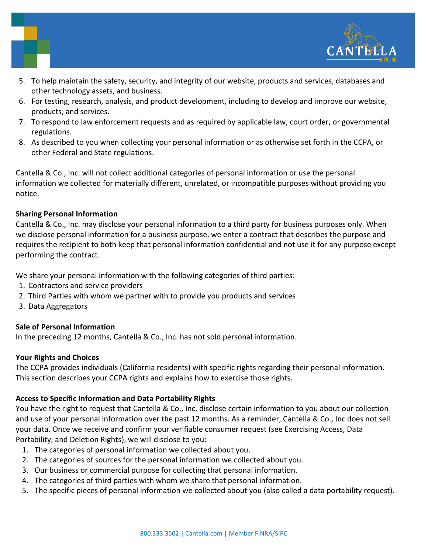

- 5. To help maintain the safety, security, and integrity of our website, products and services, databases and other technology assets, and business.
- 6. For testing, research, analysis, and product development, including to develop and improve our website, products, and services.
- 7. To respond to law enforcement requests and as required by applicable law, court order, or governmental regulations.
- 8. As described to you when collecting your personal information or as otherwise set forth in the CCPA, or other Federal and State regulations.

Cantella & Co., Inc. will not collect additional categories of personal information or use the personal information we collected for materially different, unrelated, or incompatible purposes without providing you notice.

## Sharing Personal Information

Cantella & Co., Inc. may disclose your personal information to a third party for business purposes only. When we disclose personal information for a business purpose, we enter a contract that describes the purpose and requires the recipient to both keep that personal information confidential and not use it for any purpose except performing the contract.

We share your personal information with the following categories of third parties:

- 1. Contractors and service providers
- 2. Third Parties with whom we partner with to provide you products and services
- 3. Data Aggregators

# Sale of Personal Information

In the preceding 12 months, Cantella & Co., Inc. has not sold personal information.

### Your Rights and Choices

The CCPA provides individuals (California residents) with specific rights regarding their personal information. This section describes your CCPA rights and explains how to exercise those rights.

# Access to Specific Information and Data Portability Rights

You have the right to request that Cantella & Co., Inc. disclose certain information to you about our collection and use of your personal information over the past 12 months. As a reminder, Cantella & Co., Inc does not sell your data. Once we receive and confirm your verifiable consumer request (see Exercising Access, Data Portability, and Deletion Rights), we will disclose to you:

- 1. The categories of personal information we collected about you.
- 2. The categories of sources for the personal information we collected about you.
- 3. Our business or commercial purpose for collecting that personal information.
- 4. The categories of third parties with whom we share that personal information.
- 5. The specific pieces of personal information we collected about you (also called a data portability request).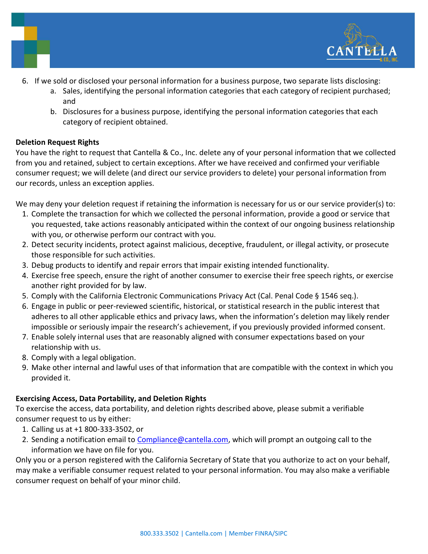

- 6. If we sold or disclosed your personal information for a business purpose, two separate lists disclosing:
	- a. Sales, identifying the personal information categories that each category of recipient purchased; and
	- b. Disclosures for a business purpose, identifying the personal information categories that each category of recipient obtained.

### Deletion Request Rights

You have the right to request that Cantella & Co., Inc. delete any of your personal information that we collected from you and retained, subject to certain exceptions. After we have received and confirmed your verifiable consumer request; we will delete (and direct our service providers to delete) your personal information from our records, unless an exception applies.

We may deny your deletion request if retaining the information is necessary for us or our service provider(s) to:

- 1. Complete the transaction for which we collected the personal information, provide a good or service that you requested, take actions reasonably anticipated within the context of our ongoing business relationship with you, or otherwise perform our contract with you.
- 2. Detect security incidents, protect against malicious, deceptive, fraudulent, or illegal activity, or prosecute those responsible for such activities.
- 3. Debug products to identify and repair errors that impair existing intended functionality.
- 4. Exercise free speech, ensure the right of another consumer to exercise their free speech rights, or exercise another right provided for by law.
- 5. Comply with the California Electronic Communications Privacy Act (Cal. Penal Code § 1546 seq.).
- 6. Engage in public or peer-reviewed scientific, historical, or statistical research in the public interest that adheres to all other applicable ethics and privacy laws, when the information's deletion may likely render impossible or seriously impair the research's achievement, if you previously provided informed consent.
- 7. Enable solely internal uses that are reasonably aligned with consumer expectations based on your relationship with us.
- 8. Comply with a legal obligation.
- 9. Make other internal and lawful uses of that information that are compatible with the context in which you provided it.

# Exercising Access, Data Portability, and Deletion Rights

To exercise the access, data portability, and deletion rights described above, please submit a verifiable consumer request to us by either:

- 1. Calling us at +1 800-333-3502, or
- 2. Sending a notification email to Compliance@cantella.com, which will prompt an outgoing call to the information we have on file for you.

Only you or a person registered with the California Secretary of State that you authorize to act on your behalf, may make a verifiable consumer request related to your personal information. You may also make a verifiable consumer request on behalf of your minor child.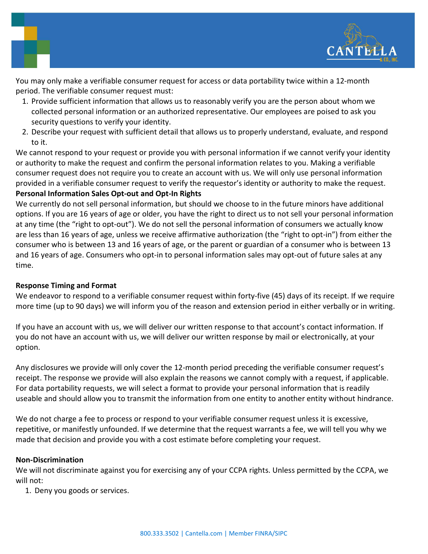

You may only make a verifiable consumer request for access or data portability twice within a 12-month period. The verifiable consumer request must:

- 1. Provide sufficient information that allows us to reasonably verify you are the person about whom we collected personal information or an authorized representative. Our employees are poised to ask you security questions to verify your identity.
- 2. Describe your request with sufficient detail that allows us to properly understand, evaluate, and respond to it.

We cannot respond to your request or provide you with personal information if we cannot verify your identity or authority to make the request and confirm the personal information relates to you. Making a verifiable consumer request does not require you to create an account with us. We will only use personal information provided in a verifiable consumer request to verify the requestor's identity or authority to make the request. Personal Information Sales Opt-out and Opt-In Rights

We currently do not sell personal information, but should we choose to in the future minors have additional options. If you are 16 years of age or older, you have the right to direct us to not sell your personal information at any time (the "right to opt-out"). We do not sell the personal information of consumers we actually know are less than 16 years of age, unless we receive affirmative authorization (the "right to opt-in") from either the consumer who is between 13 and 16 years of age, or the parent or guardian of a consumer who is between 13 and 16 years of age. Consumers who opt-in to personal information sales may opt-out of future sales at any time.

### Response Timing and Format

We endeavor to respond to a verifiable consumer request within forty-five (45) days of its receipt. If we require more time (up to 90 days) we will inform you of the reason and extension period in either verbally or in writing.

If you have an account with us, we will deliver our written response to that account's contact information. If you do not have an account with us, we will deliver our written response by mail or electronically, at your option.

Any disclosures we provide will only cover the 12-month period preceding the verifiable consumer request's receipt. The response we provide will also explain the reasons we cannot comply with a request, if applicable. For data portability requests, we will select a format to provide your personal information that is readily useable and should allow you to transmit the information from one entity to another entity without hindrance.

We do not charge a fee to process or respond to your verifiable consumer request unless it is excessive, repetitive, or manifestly unfounded. If we determine that the request warrants a fee, we will tell you why we made that decision and provide you with a cost estimate before completing your request.

### Non-Discrimination

We will not discriminate against you for exercising any of your CCPA rights. Unless permitted by the CCPA, we will not:

1. Deny you goods or services.